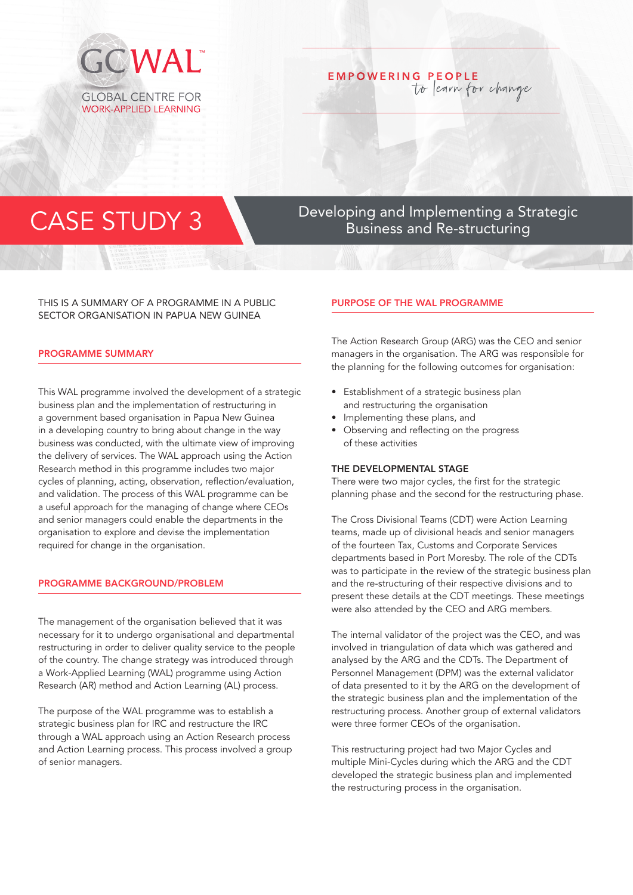

# **EMPOWERING PEOPLE** to learn for change

## THIS IS A SUMMARY OF A PROGRAMME IN A PUBLIC SECTOR ORGANISATION IN PAPUA NEW GUINEA

## PROGRAMME SUMMARY

This WAL programme involved the development of a strategic business plan and the implementation of restructuring in a government based organisation in Papua New Guinea in a developing country to bring about change in the way business was conducted, with the ultimate view of improving the delivery of services. The WAL approach using the Action Research method in this programme includes two major cycles of planning, acting, observation, reflection/evaluation, and validation. The process of this WAL programme can be a useful approach for the managing of change where CEOs and senior managers could enable the departments in the organisation to explore and devise the implementation required for change in the organisation.

## PROGRAMME BACKGROUND/PROBLEM

The management of the organisation believed that it was necessary for it to undergo organisational and departmental restructuring in order to deliver quality service to the people of the country. The change strategy was introduced through a Work-Applied Learning (WAL) programme using Action Research (AR) method and Action Learning (AL) process.

The purpose of the WAL programme was to establish a strategic business plan for IRC and restructure the IRC through a WAL approach using an Action Research process and Action Learning process. This process involved a group of senior managers.

CASE STUDY 3 Developing and Implementing a Strategic Business and Re-structuring

## PURPOSE OF THE WAL PROGRAMME

The Action Research Group (ARG) was the CEO and senior managers in the organisation. The ARG was responsible for the planning for the following outcomes for organisation:

- Establishment of a strategic business plan and restructuring the organisation
- Implementing these plans, and
- Observing and reflecting on the progress of these activities

#### THE DEVELOPMENTAL STAGE

There were two major cycles, the first for the strategic planning phase and the second for the restructuring phase.

The Cross Divisional Teams (CDT) were Action Learning teams, made up of divisional heads and senior managers of the fourteen Tax, Customs and Corporate Services departments based in Port Moresby. The role of the CDTs was to participate in the review of the strategic business plan and the re-structuring of their respective divisions and to present these details at the CDT meetings. These meetings were also attended by the CEO and ARG members.

The internal validator of the project was the CEO, and was involved in triangulation of data which was gathered and analysed by the ARG and the CDTs. The Department of Personnel Management (DPM) was the external validator of data presented to it by the ARG on the development of the strategic business plan and the implementation of the restructuring process. Another group of external validators were three former CEOs of the organisation.

This restructuring project had two Major Cycles and multiple Mini-Cycles during which the ARG and the CDT developed the strategic business plan and implemented the restructuring process in the organisation.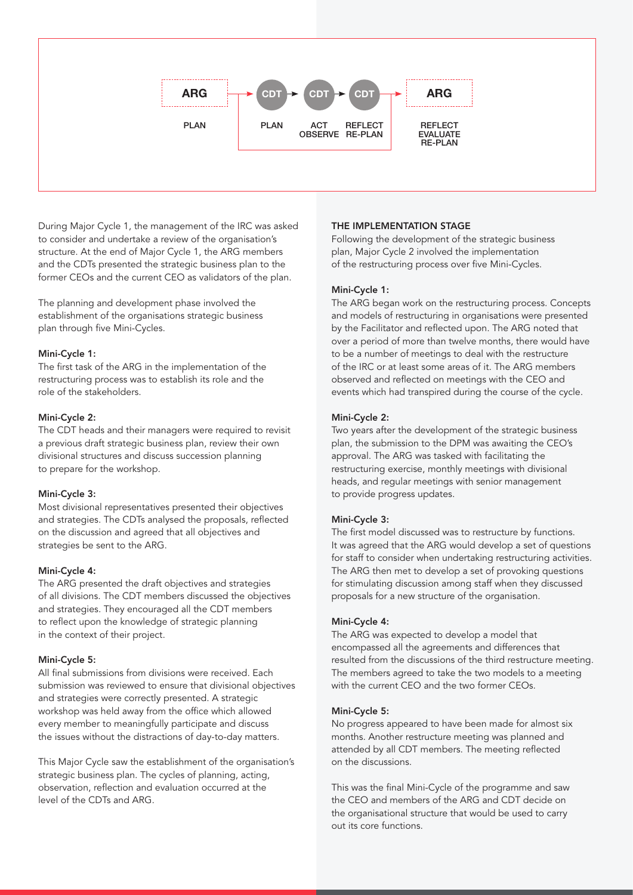

During Major Cycle 1, the management of the IRC was asked to consider and undertake a review of the organisation's structure. At the end of Major Cycle 1, the ARG members and the CDTs presented the strategic business plan to the former CEOs and the current CEO as validators of the plan.

The planning and development phase involved the establishment of the organisations strategic business plan through five Mini-Cycles.

#### Mini-Cycle 1:

The first task of the ARG in the implementation of the restructuring process was to establish its role and the role of the stakeholders.

## Mini-Cycle 2:

The CDT heads and their managers were required to revisit a previous draft strategic business plan, review their own divisional structures and discuss succession planning to prepare for the workshop.

#### Mini-Cycle 3:

Most divisional representatives presented their objectives and strategies. The CDTs analysed the proposals, reflected on the discussion and agreed that all objectives and strategies be sent to the ARG.

## Mini-Cycle 4:

The ARG presented the draft objectives and strategies of all divisions. The CDT members discussed the objectives and strategies. They encouraged all the CDT members to reflect upon the knowledge of strategic planning in the context of their project.

## Mini-Cycle 5:

All final submissions from divisions were received. Each submission was reviewed to ensure that divisional objectives and strategies were correctly presented. A strategic workshop was held away from the office which allowed every member to meaningfully participate and discuss the issues without the distractions of day-to-day matters.

This Major Cycle saw the establishment of the organisation's strategic business plan. The cycles of planning, acting, observation, reflection and evaluation occurred at the level of the CDTs and ARG.

## THE IMPLEMENTATION STAGE

Following the development of the strategic business plan, Major Cycle 2 involved the implementation of the restructuring process over five Mini-Cycles.

## Mini-Cycle 1:

The ARG began work on the restructuring process. Concepts and models of restructuring in organisations were presented by the Facilitator and reflected upon. The ARG noted that over a period of more than twelve months, there would have to be a number of meetings to deal with the restructure of the IRC or at least some areas of it. The ARG members observed and reflected on meetings with the CEO and events which had transpired during the course of the cycle.

## Mini-Cycle 2:

Two years after the development of the strategic business plan, the submission to the DPM was awaiting the CEO's approval. The ARG was tasked with facilitating the restructuring exercise, monthly meetings with divisional heads, and regular meetings with senior management to provide progress updates.

## Mini-Cycle 3:

The first model discussed was to restructure by functions. It was agreed that the ARG would develop a set of questions for staff to consider when undertaking restructuring activities. The ARG then met to develop a set of provoking questions for stimulating discussion among staff when they discussed proposals for a new structure of the organisation.

## Mini-Cycle 4:

The ARG was expected to develop a model that encompassed all the agreements and differences that resulted from the discussions of the third restructure meeting. The members agreed to take the two models to a meeting with the current CEO and the two former CEOs.

## Mini-Cycle 5:

No progress appeared to have been made for almost six months. Another restructure meeting was planned and attended by all CDT members. The meeting reflected on the discussions.

This was the final Mini-Cycle of the programme and saw the CEO and members of the ARG and CDT decide on the organisational structure that would be used to carry out its core functions.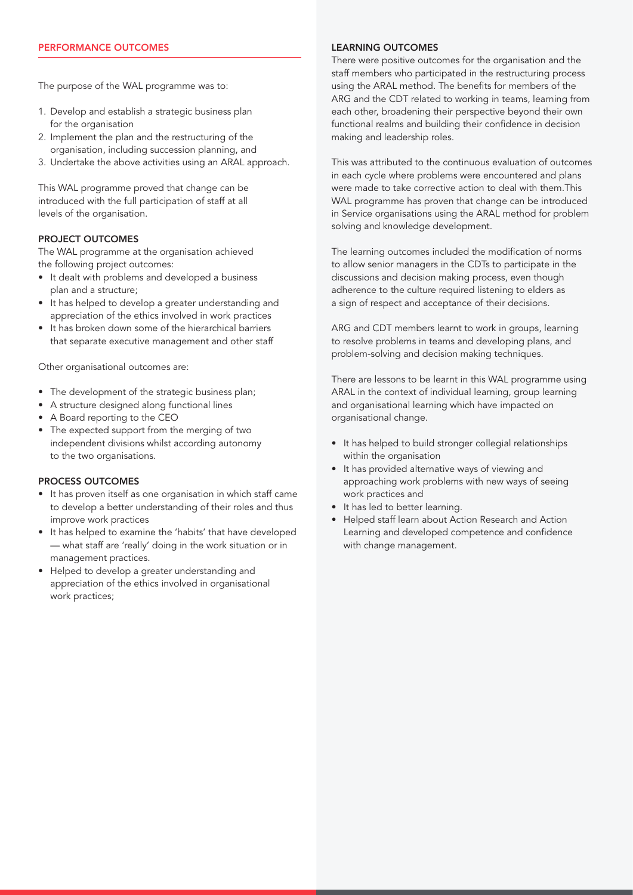The purpose of the WAL programme was to:

- 1. Develop and establish a strategic business plan for the organisation
- 2. Implement the plan and the restructuring of the organisation, including succession planning, and
- 3. Undertake the above activities using an ARAL approach.

This WAL programme proved that change can be introduced with the full participation of staff at all levels of the organisation.

## PROJECT OUTCOMES

The WAL programme at the organisation achieved the following project outcomes:

- It dealt with problems and developed a business plan and a structure;
- It has helped to develop a greater understanding and appreciation of the ethics involved in work practices
- It has broken down some of the hierarchical barriers that separate executive management and other staff

Other organisational outcomes are:

- The development of the strategic business plan;
- A structure designed along functional lines
- A Board reporting to the CEO
- The expected support from the merging of two independent divisions whilst according autonomy to the two organisations.

## PROCESS OUTCOMES

- It has proven itself as one organisation in which staff came to develop a better understanding of their roles and thus improve work practices
- It has helped to examine the 'habits' that have developed — what staff are 'really' doing in the work situation or in management practices.
- Helped to develop a greater understanding and appreciation of the ethics involved in organisational work practices;

#### LEARNING OUTCOMES

There were positive outcomes for the organisation and the staff members who participated in the restructuring process using the ARAL method. The benefits for members of the ARG and the CDT related to working in teams, learning from each other, broadening their perspective beyond their own functional realms and building their confidence in decision making and leadership roles.

This was attributed to the continuous evaluation of outcomes in each cycle where problems were encountered and plans were made to take corrective action to deal with them.This WAL programme has proven that change can be introduced in Service organisations using the ARAL method for problem solving and knowledge development.

The learning outcomes included the modification of norms to allow senior managers in the CDTs to participate in the discussions and decision making process, even though adherence to the culture required listening to elders as a sign of respect and acceptance of their decisions.

ARG and CDT members learnt to work in groups, learning to resolve problems in teams and developing plans, and problem-solving and decision making techniques.

There are lessons to be learnt in this WAL programme using ARAL in the context of individual learning, group learning and organisational learning which have impacted on organisational change.

- It has helped to build stronger collegial relationships within the organisation
- It has provided alternative ways of viewing and approaching work problems with new ways of seeing work practices and
- It has led to better learning.
- Helped staff learn about Action Research and Action Learning and developed competence and confidence with change management.